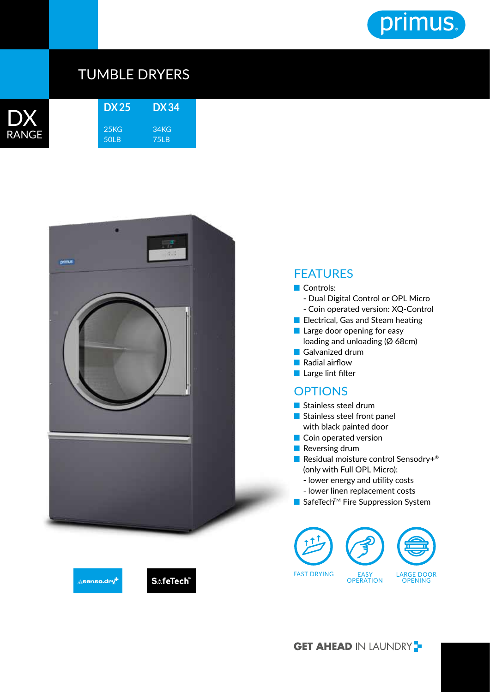

## TUMBLE DRYERS

| RANG | H |
|------|---|

| <b>DX25</b>      | DX 34 |  |
|------------------|-------|--|
| 25 <sub>KG</sub> | 34KG  |  |
| 50I B            | 75I B |  |



## **FEATURES**

## ■ Controls:

- Dual Digital Control or OPL Micro
- Coin operated version: XQ-Control
- Electrical, Gas and Steam heating
- Large door opening for easy loading and unloading (Ø 68cm)
- Galvanized drum
- Radial airflow
- Large lint filter

## **OPTIONS**

- Stainless steel drum
- Stainless steel front panel with black painted door
- Coin operated version
- Reversing drum
- Residual moisture control Sensodry+<sup>®</sup> (only with Full OPL Micro):
	- lower energy and utility costs
	- lower linen replacement costs
- SafeTech<sup>™</sup> Fire Suppression System